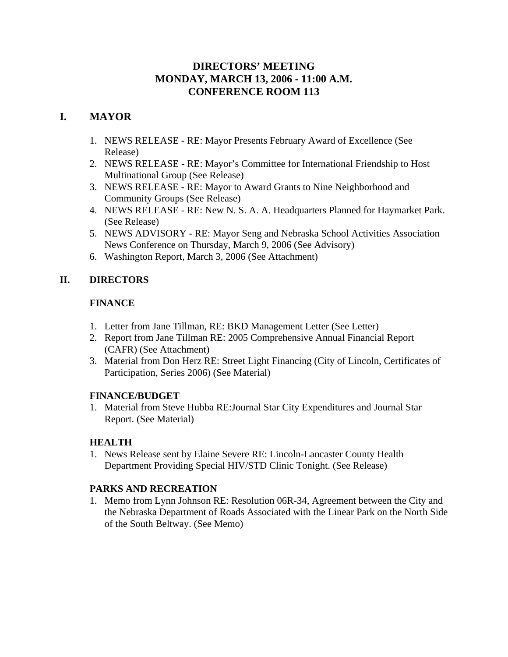# **DIRECTORS' MEETING MONDAY, MARCH 13, 2006 - 11:00 A.M. CONFERENCE ROOM 113**

# **I. MAYOR**

- 1. NEWS RELEASE RE: Mayor Presents February Award of Excellence (See Release)
- 2. NEWS RELEASE RE: Mayor's Committee for International Friendship to Host Multinational Group (See Release)
- 3. NEWS RELEASERE: Mayor to Award Grants to Nine Neighborhood and Community Groups (See Release)
- 4. NEWS RELEASE RE: New N. S. A. A. Headquarters Planned for Haymarket Park. (See Release)
- 5. NEWS ADVISORY RE: Mayor Seng and Nebraska School Activities Association News Conference on Thursday, March 9, 2006 (See Advisory)
- 6. Washington Report, March 3, 2006 (See Attachment)

# **II. DIRECTORS**

# **FINANCE**

- 1. Letter from Jane Tillman, RE: BKD Management Letter (See Letter)
- 2. Report from Jane Tillman RE: 2005 Comprehensive Annual Financial Report (CAFR) (See Attachment)
- 3. Material from Don Herz RE: Street Light Financing (City of Lincoln, Certificates of Participation, Series 2006) (See Material)

# **FINANCE/BUDGET**

1. Material from Steve Hubba RE:Journal Star City Expenditures and Journal Star Report. (See Material)

# **HEALTH**

1. News Release sent by Elaine Severe RE: Lincoln-Lancaster County Health Department Providing Special HIV/STD Clinic Tonight. (See Release)

# **PARKS AND RECREATION**

1. Memo from Lynn Johnson RE: Resolution 06R-34, Agreement between the City and the Nebraska Department of Roads Associated with the Linear Park on the North Side of the South Beltway. (See Memo)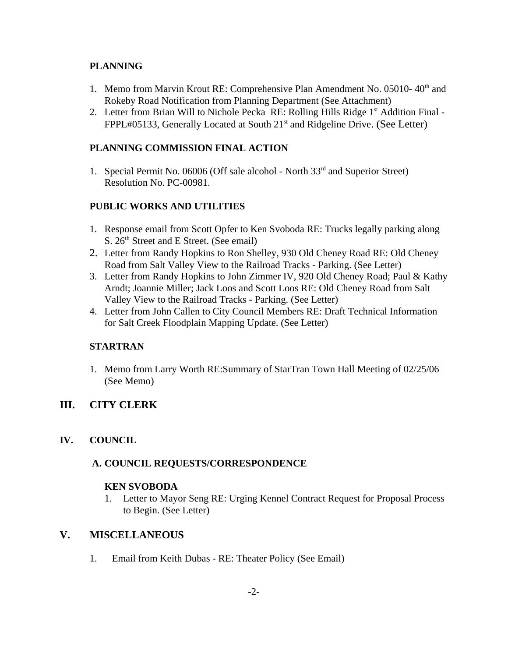# **PLANNING**

- 1. Memo from Marvin Krout RE: Comprehensive Plan Amendment No. 05010-40<sup>th</sup> and Rokeby Road Notification from Planning Department (See Attachment)
- 2. Letter from Brian Will to Nichole Pecka RE: Rolling Hills Ridge 1<sup>st</sup> Addition Final -FPPL#05133, Generally Located at South 21<sup>st</sup> and Ridgeline Drive. (See Letter)

# **PLANNING COMMISSION FINAL ACTION**

1. Special Permit No. 06006 (Off sale alcohol - North  $33<sup>rd</sup>$  and Superior Street) Resolution No. PC-00981.

# **PUBLIC WORKS AND UTILITIES**

- 1. Response email from Scott Opfer to Ken Svoboda RE: Trucks legally parking along S.  $26<sup>th</sup>$  Street and E Street. (See email)
- 2. Letter from Randy Hopkins to Ron Shelley, 930 Old Cheney Road RE: Old Cheney Road from Salt Valley View to the Railroad Tracks - Parking. (See Letter)
- 3. Letter from Randy Hopkins to John Zimmer IV, 920 Old Cheney Road; Paul & Kathy Arndt; Joannie Miller; Jack Loos and Scott Loos RE: Old Cheney Road from Salt Valley View to the Railroad Tracks - Parking. (See Letter)
- 4. Letter from John Callen to City Council Members RE: Draft Technical Information for Salt Creek Floodplain Mapping Update. (See Letter)

# **STARTRAN**

1. Memo from Larry Worth RE:Summary of StarTran Town Hall Meeting of 02/25/06 (See Memo)

# **III. CITY CLERK**

# **IV. COUNCIL**

# **A. COUNCIL REQUESTS/CORRESPONDENCE**

# **KEN SVOBODA**

1. Letter to Mayor Seng RE: Urging Kennel Contract Request for Proposal Process to Begin. (See Letter)

# **V. MISCELLANEOUS**

1. Email from Keith Dubas - RE: Theater Policy (See Email)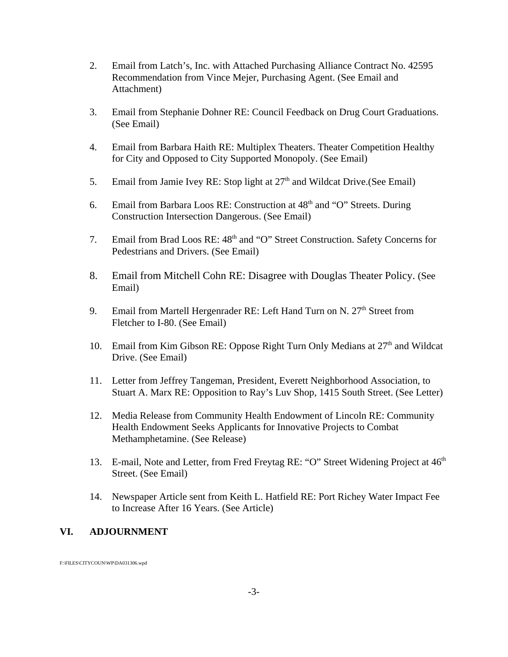- 2. Email from Latch's, Inc. with Attached Purchasing Alliance Contract No. 42595 Recommendation from Vince Mejer, Purchasing Agent. (See Email and Attachment)
- 3. Email from Stephanie Dohner RE: Council Feedback on Drug Court Graduations. (See Email)
- 4. Email from Barbara Haith RE: Multiplex Theaters. Theater Competition Healthy for City and Opposed to City Supported Monopoly. (See Email)
- 5. Email from Jamie Ivey RE: Stop light at  $27<sup>th</sup>$  and Wildcat Drive.(See Email)
- 6. Email from Barbara Loos RE: Construction at  $48<sup>th</sup>$  and "O" Streets. During Construction Intersection Dangerous. (See Email)
- 7. Email from Brad Loos RE:  $48<sup>th</sup>$  and "O" Street Construction. Safety Concerns for Pedestrians and Drivers. (See Email)
- 8. Email from Mitchell Cohn RE: Disagree with Douglas Theater Policy. (See Email)
- 9. Email from Martell Hergenrader RE: Left Hand Turn on N.  $27<sup>th</sup>$  Street from Fletcher to I-80. (See Email)
- 10. Email from Kim Gibson RE: Oppose Right Turn Only Medians at  $27<sup>th</sup>$  and Wildcat Drive. (See Email)
- 11. Letter from Jeffrey Tangeman, President, Everett Neighborhood Association, to Stuart A. Marx RE: Opposition to Ray's Luv Shop, 1415 South Street. (See Letter)
- 12. Media Release from Community Health Endowment of Lincoln RE: Community Health Endowment Seeks Applicants for Innovative Projects to Combat Methamphetamine. (See Release)
- 13. E-mail, Note and Letter, from Fred Freytag RE: "O" Street Widening Project at  $46<sup>th</sup>$ Street. (See Email)
- 14. Newspaper Article sent from Keith L. Hatfield RE: Port Richey Water Impact Fee to Increase After 16 Years. (See Article)

# **VI. ADJOURNMENT**

F:\FILES\CITYCOUN\WP\DA031306.wpd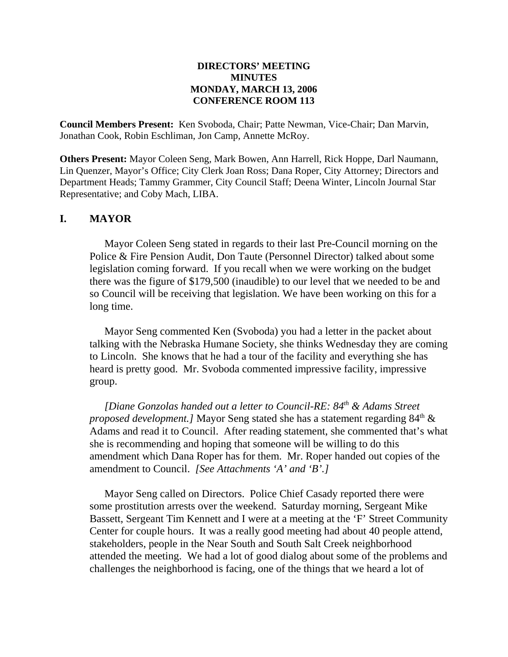## **DIRECTORS' MEETING MINUTES MONDAY, MARCH 13, 2006 CONFERENCE ROOM 113**

**Council Members Present:** Ken Svoboda, Chair; Patte Newman, Vice-Chair; Dan Marvin, Jonathan Cook, Robin Eschliman, Jon Camp, Annette McRoy.

**Others Present:** Mayor Coleen Seng, Mark Bowen, Ann Harrell, Rick Hoppe, Darl Naumann, Lin Quenzer, Mayor's Office; City Clerk Joan Ross; Dana Roper, City Attorney; Directors and Department Heads; Tammy Grammer, City Council Staff; Deena Winter, Lincoln Journal Star Representative; and Coby Mach, LIBA.

# **I. MAYOR**

Mayor Coleen Seng stated in regards to their last Pre-Council morning on the Police & Fire Pension Audit, Don Taute (Personnel Director) talked about some legislation coming forward. If you recall when we were working on the budget there was the figure of \$179,500 (inaudible) to our level that we needed to be and so Council will be receiving that legislation. We have been working on this for a long time.

Mayor Seng commented Ken (Svoboda) you had a letter in the packet about talking with the Nebraska Humane Society, she thinks Wednesday they are coming to Lincoln. She knows that he had a tour of the facility and everything she has heard is pretty good. Mr. Svoboda commented impressive facility, impressive group.

*[Diane Gonzolas handed out a letter to Council-RE: 84th & Adams Street proposed development.]* Mayor Seng stated she has a statement regarding  $84<sup>th</sup>$  & Adams and read it to Council. After reading statement, she commented that's what she is recommending and hoping that someone will be willing to do this amendment which Dana Roper has for them. Mr. Roper handed out copies of the amendment to Council. *[See Attachments 'A' and 'B'.]* 

Mayor Seng called on Directors. Police Chief Casady reported there were some prostitution arrests over the weekend. Saturday morning, Sergeant Mike Bassett, Sergeant Tim Kennett and I were at a meeting at the 'F' Street Community Center for couple hours. It was a really good meeting had about 40 people attend, stakeholders, people in the Near South and South Salt Creek neighborhood attended the meeting. We had a lot of good dialog about some of the problems and challenges the neighborhood is facing, one of the things that we heard a lot of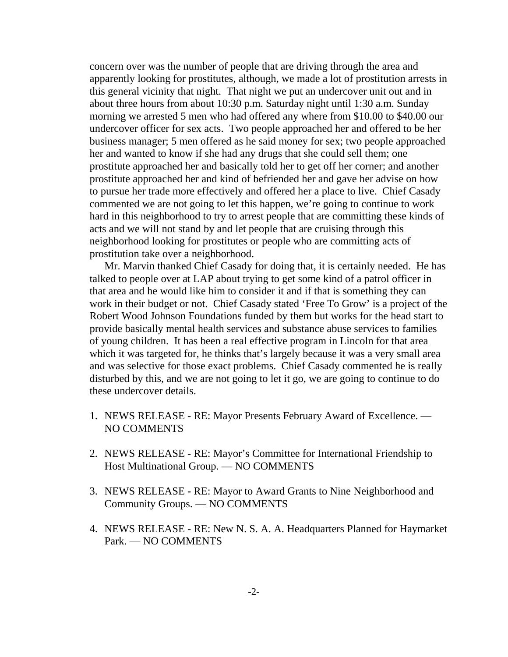concern over was the number of people that are driving through the area and apparently looking for prostitutes, although, we made a lot of prostitution arrests in this general vicinity that night. That night we put an undercover unit out and in about three hours from about 10:30 p.m. Saturday night until 1:30 a.m. Sunday morning we arrested 5 men who had offered any where from \$10.00 to \$40.00 our undercover officer for sex acts. Two people approached her and offered to be her business manager; 5 men offered as he said money for sex; two people approached her and wanted to know if she had any drugs that she could sell them; one prostitute approached her and basically told her to get off her corner; and another prostitute approached her and kind of befriended her and gave her advise on how to pursue her trade more effectively and offered her a place to live. Chief Casady commented we are not going to let this happen, we're going to continue to work hard in this neighborhood to try to arrest people that are committing these kinds of acts and we will not stand by and let people that are cruising through this neighborhood looking for prostitutes or people who are committing acts of prostitution take over a neighborhood.

Mr. Marvin thanked Chief Casady for doing that, it is certainly needed. He has talked to people over at LAP about trying to get some kind of a patrol officer in that area and he would like him to consider it and if that is something they can work in their budget or not. Chief Casady stated 'Free To Grow' is a project of the Robert Wood Johnson Foundations funded by them but works for the head start to provide basically mental health services and substance abuse services to families of young children. It has been a real effective program in Lincoln for that area which it was targeted for, he thinks that's largely because it was a very small area and was selective for those exact problems. Chief Casady commented he is really disturbed by this, and we are not going to let it go, we are going to continue to do these undercover details.

- 1. NEWS RELEASE RE: Mayor Presents February Award of Excellence. NO COMMENTS
- 2. NEWS RELEASE RE: Mayor's Committee for International Friendship to Host Multinational Group. — NO COMMENTS
- 3. NEWS RELEASERE: Mayor to Award Grants to Nine Neighborhood and Community Groups. — NO COMMENTS
- 4. NEWS RELEASE RE: New N. S. A. A. Headquarters Planned for Haymarket Park. — NO COMMENTS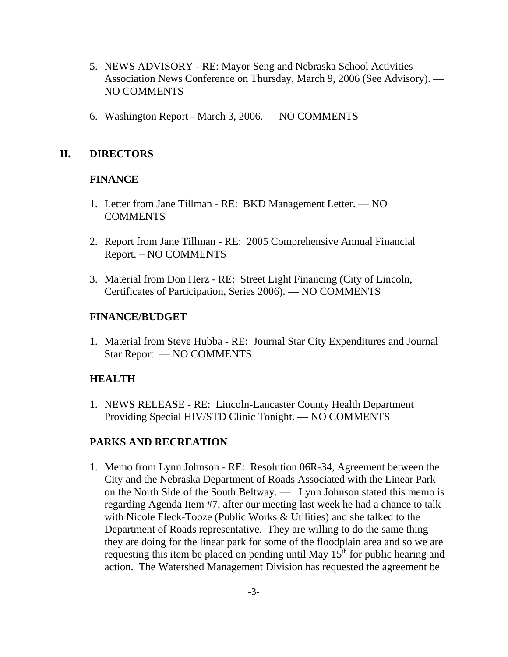- 5. NEWS ADVISORY RE: Mayor Seng and Nebraska School Activities Association News Conference on Thursday, March 9, 2006 (See Advisory). — NO COMMENTS
- 6. Washington Report March 3, 2006. NO COMMENTS

# **II. DIRECTORS**

# **FINANCE**

- 1. Letter from Jane Tillman RE: BKD Management Letter. NO COMMENTS
- 2. Report from Jane Tillman RE: 2005 Comprehensive Annual Financial Report. – NO COMMENTS
- 3. Material from Don Herz RE: Street Light Financing (City of Lincoln, Certificates of Participation, Series 2006). — NO COMMENTS

# **FINANCE/BUDGET**

1. Material from Steve Hubba - RE: Journal Star City Expenditures and Journal Star Report. — NO COMMENTS

# **HEALTH**

1. NEWS RELEASE - RE: Lincoln-Lancaster County Health Department Providing Special HIV/STD Clinic Tonight. — NO COMMENTS

# **PARKS AND RECREATION**

1. Memo from Lynn Johnson - RE: Resolution 06R-34, Agreement between the City and the Nebraska Department of Roads Associated with the Linear Park on the North Side of the South Beltway. — Lynn Johnson stated this memo is regarding Agenda Item #7, after our meeting last week he had a chance to talk with Nicole Fleck-Tooze (Public Works & Utilities) and she talked to the Department of Roads representative. They are willing to do the same thing they are doing for the linear park for some of the floodplain area and so we are requesting this item be placed on pending until May  $15<sup>th</sup>$  for public hearing and action. The Watershed Management Division has requested the agreement be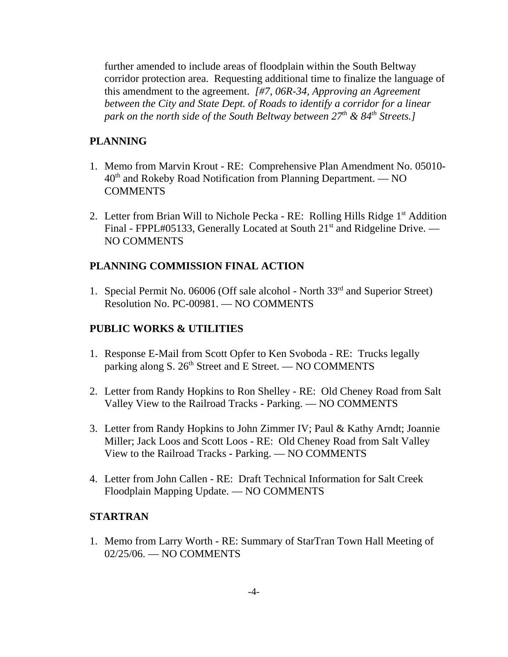further amended to include areas of floodplain within the South Beltway corridor protection area. Requesting additional time to finalize the language of this amendment to the agreement. *[#7, 06R-34, Approving an Agreement between the City and State Dept. of Roads to identify a corridor for a linear park on the north side of the South Beltway between 27<sup>th</sup> & 84<sup>th</sup> Streets.]* 

# **PLANNING**

- 1. Memo from Marvin Krout RE: Comprehensive Plan Amendment No. 05010-  $40<sup>th</sup>$  and Rokeby Road Notification from Planning Department. — NO **COMMENTS**
- 2. Letter from Brian Will to Nichole Pecka RE: Rolling Hills Ridge 1<sup>st</sup> Addition Final - FPPL#05133, Generally Located at South 21<sup>st</sup> and Ridgeline Drive. — NO COMMENTS

## **PLANNING COMMISSION FINAL ACTION**

1. Special Permit No. 06006 (Off sale alcohol - North 33<sup>rd</sup> and Superior Street) Resolution No. PC-00981. — NO COMMENTS

# **PUBLIC WORKS & UTILITIES**

- 1. Response E-Mail from Scott Opfer to Ken Svoboda RE: Trucks legally parking along S. 26<sup>th</sup> Street and E Street. — NO COMMENTS
- 2. Letter from Randy Hopkins to Ron Shelley RE: Old Cheney Road from Salt Valley View to the Railroad Tracks - Parking. — NO COMMENTS
- 3. Letter from Randy Hopkins to John Zimmer IV; Paul & Kathy Arndt; Joannie Miller; Jack Loos and Scott Loos - RE: Old Cheney Road from Salt Valley View to the Railroad Tracks - Parking. — NO COMMENTS
- 4. Letter from John Callen RE: Draft Technical Information for Salt Creek Floodplain Mapping Update. — NO COMMENTS

#### **STARTRAN**

1. Memo from Larry Worth - RE: Summary of StarTran Town Hall Meeting of 02/25/06. — NO COMMENTS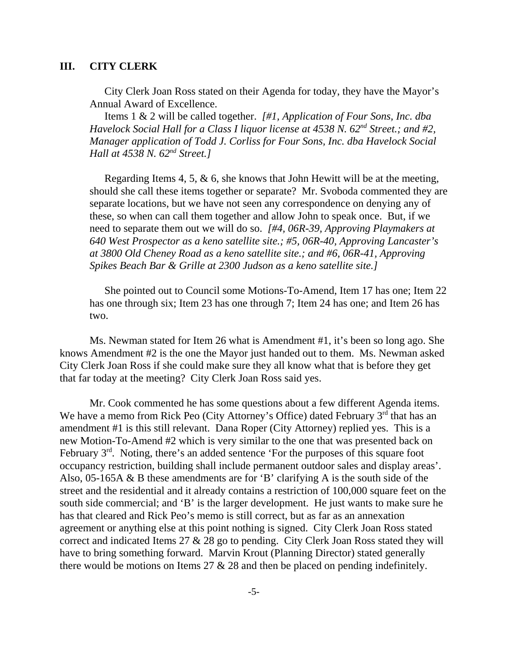## **III. CITY CLERK**

City Clerk Joan Ross stated on their Agenda for today, they have the Mayor's Annual Award of Excellence.

Items 1 & 2 will be called together. *[#1, Application of Four Sons, Inc. dba Havelock Social Hall for a Class I liquor license at 4538 N. 62<sup>nd</sup> Street.; and #2, Manager application of Todd J. Corliss for Four Sons, Inc. dba Havelock Social Hall at 4538 N. 62nd Street.]* 

Regarding Items 4, 5, & 6, she knows that John Hewitt will be at the meeting, should she call these items together or separate? Mr. Svoboda commented they are separate locations, but we have not seen any correspondence on denying any of these, so when can call them together and allow John to speak once. But, if we need to separate them out we will do so. *[#4, 06R-39, Approving Playmakers at 640 West Prospector as a keno satellite site.; #5, 06R-40, Approving Lancaster's at 3800 Old Cheney Road as a keno satellite site.; and #6, 06R-41, Approving Spikes Beach Bar & Grille at 2300 Judson as a keno satellite site.]* 

She pointed out to Council some Motions-To-Amend, Item 17 has one; Item 22 has one through six; Item 23 has one through 7; Item 24 has one; and Item 26 has two.

Ms. Newman stated for Item 26 what is Amendment #1, it's been so long ago. She knows Amendment #2 is the one the Mayor just handed out to them. Ms. Newman asked City Clerk Joan Ross if she could make sure they all know what that is before they get that far today at the meeting? City Clerk Joan Ross said yes.

Mr. Cook commented he has some questions about a few different Agenda items. We have a memo from Rick Peo (City Attorney's Office) dated February  $3<sup>rd</sup>$  that has an amendment #1 is this still relevant. Dana Roper (City Attorney) replied yes. This is a new Motion-To-Amend #2 which is very similar to the one that was presented back on February  $3<sup>rd</sup>$ . Noting, there's an added sentence 'For the purposes of this square foot occupancy restriction, building shall include permanent outdoor sales and display areas'. Also, 05-165A & B these amendments are for 'B' clarifying A is the south side of the street and the residential and it already contains a restriction of 100,000 square feet on the south side commercial; and 'B' is the larger development. He just wants to make sure he has that cleared and Rick Peo's memo is still correct, but as far as an annexation agreement or anything else at this point nothing is signed. City Clerk Joan Ross stated correct and indicated Items 27 & 28 go to pending. City Clerk Joan Ross stated they will have to bring something forward. Marvin Krout (Planning Director) stated generally there would be motions on Items 27 & 28 and then be placed on pending indefinitely.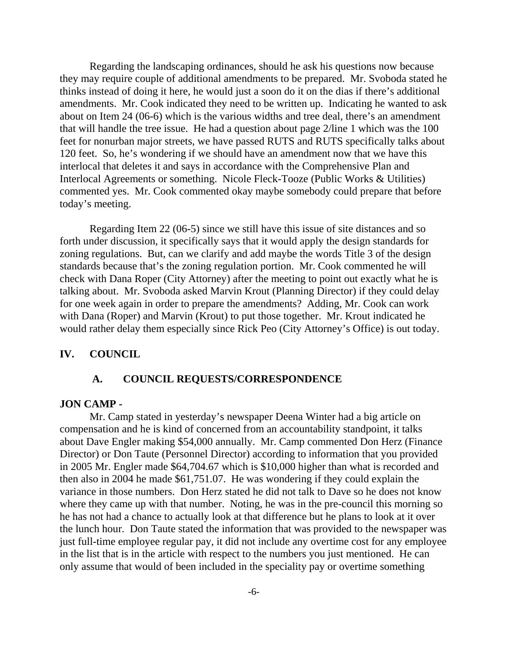Regarding the landscaping ordinances, should he ask his questions now because they may require couple of additional amendments to be prepared. Mr. Svoboda stated he thinks instead of doing it here, he would just a soon do it on the dias if there's additional amendments. Mr. Cook indicated they need to be written up. Indicating he wanted to ask about on Item 24 (06-6) which is the various widths and tree deal, there's an amendment that will handle the tree issue. He had a question about page 2/line 1 which was the 100 feet for nonurban major streets, we have passed RUTS and RUTS specifically talks about 120 feet. So, he's wondering if we should have an amendment now that we have this interlocal that deletes it and says in accordance with the Comprehensive Plan and Interlocal Agreements or something. Nicole Fleck-Tooze (Public Works & Utilities) commented yes. Mr. Cook commented okay maybe somebody could prepare that before today's meeting.

Regarding Item 22 (06-5) since we still have this issue of site distances and so forth under discussion, it specifically says that it would apply the design standards for zoning regulations. But, can we clarify and add maybe the words Title 3 of the design standards because that's the zoning regulation portion. Mr. Cook commented he will check with Dana Roper (City Attorney) after the meeting to point out exactly what he is talking about. Mr. Svoboda asked Marvin Krout (Planning Director) if they could delay for one week again in order to prepare the amendments? Adding, Mr. Cook can work with Dana (Roper) and Marvin (Krout) to put those together. Mr. Krout indicated he would rather delay them especially since Rick Peo (City Attorney's Office) is out today.

#### **IV. COUNCIL**

#### **A. COUNCIL REQUESTS/CORRESPONDENCE**

#### **JON CAMP -**

Mr. Camp stated in yesterday's newspaper Deena Winter had a big article on compensation and he is kind of concerned from an accountability standpoint, it talks about Dave Engler making \$54,000 annually. Mr. Camp commented Don Herz (Finance Director) or Don Taute (Personnel Director) according to information that you provided in 2005 Mr. Engler made \$64,704.67 which is \$10,000 higher than what is recorded and then also in 2004 he made \$61,751.07. He was wondering if they could explain the variance in those numbers. Don Herz stated he did not talk to Dave so he does not know where they came up with that number. Noting, he was in the pre-council this morning so he has not had a chance to actually look at that difference but he plans to look at it over the lunch hour. Don Taute stated the information that was provided to the newspaper was just full-time employee regular pay, it did not include any overtime cost for any employee in the list that is in the article with respect to the numbers you just mentioned. He can only assume that would of been included in the speciality pay or overtime something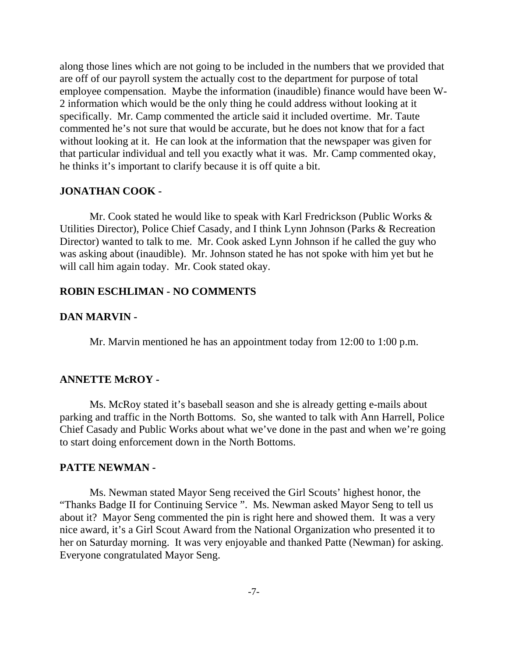along those lines which are not going to be included in the numbers that we provided that are off of our payroll system the actually cost to the department for purpose of total employee compensation. Maybe the information (inaudible) finance would have been W-2 information which would be the only thing he could address without looking at it specifically. Mr. Camp commented the article said it included overtime. Mr. Taute commented he's not sure that would be accurate, but he does not know that for a fact without looking at it. He can look at the information that the newspaper was given for that particular individual and tell you exactly what it was. Mr. Camp commented okay, he thinks it's important to clarify because it is off quite a bit.

## **JONATHAN COOK -**

Mr. Cook stated he would like to speak with Karl Fredrickson (Public Works & Utilities Director), Police Chief Casady, and I think Lynn Johnson (Parks & Recreation Director) wanted to talk to me. Mr. Cook asked Lynn Johnson if he called the guy who was asking about (inaudible). Mr. Johnson stated he has not spoke with him yet but he will call him again today. Mr. Cook stated okay.

#### **ROBIN ESCHLIMAN - NO COMMENTS**

#### **DAN MARVIN -**

Mr. Marvin mentioned he has an appointment today from 12:00 to 1:00 p.m.

#### **ANNETTE McROY -**

Ms. McRoy stated it's baseball season and she is already getting e-mails about parking and traffic in the North Bottoms. So, she wanted to talk with Ann Harrell, Police Chief Casady and Public Works about what we've done in the past and when we're going to start doing enforcement down in the North Bottoms.

#### **PATTE NEWMAN -**

Ms. Newman stated Mayor Seng received the Girl Scouts' highest honor, the "Thanks Badge II for Continuing Service ". Ms. Newman asked Mayor Seng to tell us about it? Mayor Seng commented the pin is right here and showed them. It was a very nice award, it's a Girl Scout Award from the National Organization who presented it to her on Saturday morning. It was very enjoyable and thanked Patte (Newman) for asking. Everyone congratulated Mayor Seng.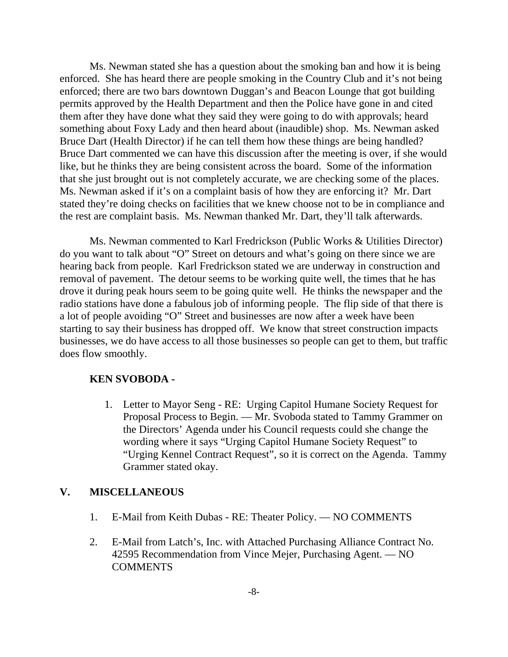Ms. Newman stated she has a question about the smoking ban and how it is being enforced. She has heard there are people smoking in the Country Club and it's not being enforced; there are two bars downtown Duggan's and Beacon Lounge that got building permits approved by the Health Department and then the Police have gone in and cited them after they have done what they said they were going to do with approvals; heard something about Foxy Lady and then heard about (inaudible) shop. Ms. Newman asked Bruce Dart (Health Director) if he can tell them how these things are being handled? Bruce Dart commented we can have this discussion after the meeting is over, if she would like, but he thinks they are being consistent across the board. Some of the information that she just brought out is not completely accurate, we are checking some of the places. Ms. Newman asked if it's on a complaint basis of how they are enforcing it? Mr. Dart stated they're doing checks on facilities that we knew choose not to be in compliance and the rest are complaint basis. Ms. Newman thanked Mr. Dart, they'll talk afterwards.

Ms. Newman commented to Karl Fredrickson (Public Works & Utilities Director) do you want to talk about "O" Street on detours and what's going on there since we are hearing back from people. Karl Fredrickson stated we are underway in construction and removal of pavement. The detour seems to be working quite well, the times that he has drove it during peak hours seem to be going quite well. He thinks the newspaper and the radio stations have done a fabulous job of informing people. The flip side of that there is a lot of people avoiding "O" Street and businesses are now after a week have been starting to say their business has dropped off. We know that street construction impacts businesses, we do have access to all those businesses so people can get to them, but traffic does flow smoothly.

#### **KEN SVOBODA -**

1. Letter to Mayor Seng - RE: Urging Capitol Humane Society Request for Proposal Process to Begin. — Mr. Svoboda stated to Tammy Grammer on the Directors' Agenda under his Council requests could she change the wording where it says "Urging Capitol Humane Society Request" to "Urging Kennel Contract Request", so it is correct on the Agenda. Tammy Grammer stated okay.

#### **V. MISCELLANEOUS**

- 1. E-Mail from Keith Dubas RE: Theater Policy. NO COMMENTS
- 2. E-Mail from Latch's, Inc. with Attached Purchasing Alliance Contract No. 42595 Recommendation from Vince Mejer, Purchasing Agent. — NO **COMMENTS**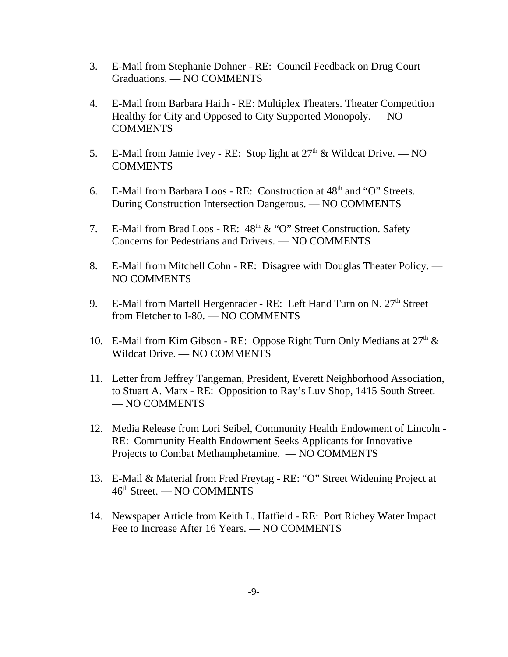- 3. E-Mail from Stephanie Dohner RE: Council Feedback on Drug Court Graduations. — NO COMMENTS
- 4. E-Mail from Barbara Haith RE: Multiplex Theaters. Theater Competition Healthy for City and Opposed to City Supported Monopoly. — NO **COMMENTS**
- 5. E-Mail from Jamie Ivey RE: Stop light at  $27<sup>th</sup>$  & Wildcat Drive. NO **COMMENTS**
- 6. E-Mail from Barbara Loos RE: Construction at  $48<sup>th</sup>$  and "O" Streets. During Construction Intersection Dangerous. — NO COMMENTS
- 7. E-Mail from Brad Loos RE:  $48<sup>th</sup>$  & "O" Street Construction. Safety Concerns for Pedestrians and Drivers. — NO COMMENTS
- 8. E-Mail from Mitchell Cohn RE: Disagree with Douglas Theater Policy. NO COMMENTS
- 9. E-Mail from Martell Hergenrader RE: Left Hand Turn on N. 27<sup>th</sup> Street from Fletcher to I-80. — NO COMMENTS
- 10. E-Mail from Kim Gibson RE: Oppose Right Turn Only Medians at  $27<sup>th</sup>$  & Wildcat Drive. — NO COMMENTS
- 11. Letter from Jeffrey Tangeman, President, Everett Neighborhood Association, to Stuart A. Marx - RE: Opposition to Ray's Luv Shop, 1415 South Street. — NO COMMENTS
- 12. Media Release from Lori Seibel, Community Health Endowment of Lincoln RE: Community Health Endowment Seeks Applicants for Innovative Projects to Combat Methamphetamine. — NO COMMENTS
- 13. E-Mail & Material from Fred Freytag RE: "O" Street Widening Project at 46th Street. — NO COMMENTS
- 14. Newspaper Article from Keith L. Hatfield RE: Port Richey Water Impact Fee to Increase After 16 Years. — NO COMMENTS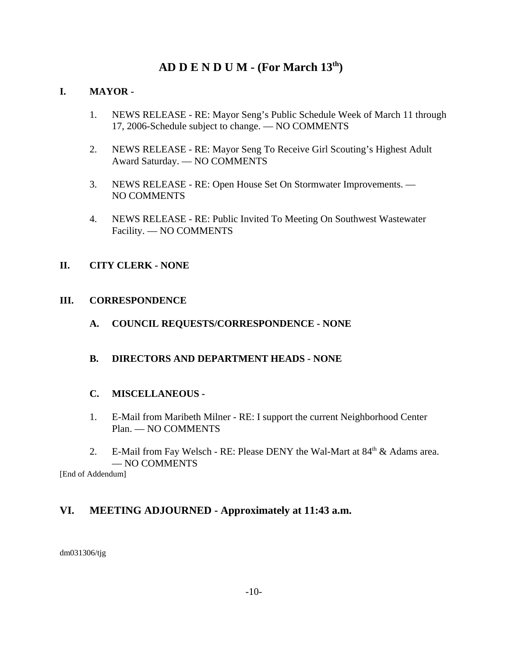# **AD D E N D U M - (For March 13th)**

# **I. MAYOR -**

- 1. NEWS RELEASE RE: Mayor Seng's Public Schedule Week of March 11 through 17, 2006-Schedule subject to change. — NO COMMENTS
- 2. NEWS RELEASE RE: Mayor Seng To Receive Girl Scouting's Highest Adult Award Saturday. — NO COMMENTS
- 3. NEWS RELEASE RE: Open House Set On Stormwater Improvements. NO COMMENTS
- 4. NEWS RELEASE RE: Public Invited To Meeting On Southwest Wastewater Facility. — NO COMMENTS

# **II. CITY CLERK - NONE**

## **III. CORRESPONDENCE**

**A. COUNCIL REQUESTS/CORRESPONDENCE - NONE** 

# **B. DIRECTORS AND DEPARTMENT HEADS - NONE**

# **C. MISCELLANEOUS -**

- 1. E-Mail from Maribeth Milner RE: I support the current Neighborhood Center Plan. — NO COMMENTS
- 2. E-Mail from Fay Welsch RE: Please DENY the Wal-Mart at  $84<sup>th</sup>$  & Adams area. — NO COMMENTS

[End of Addendum]

# **VI. MEETING ADJOURNED - Approximately at 11:43 a.m.**

dm031306/tjg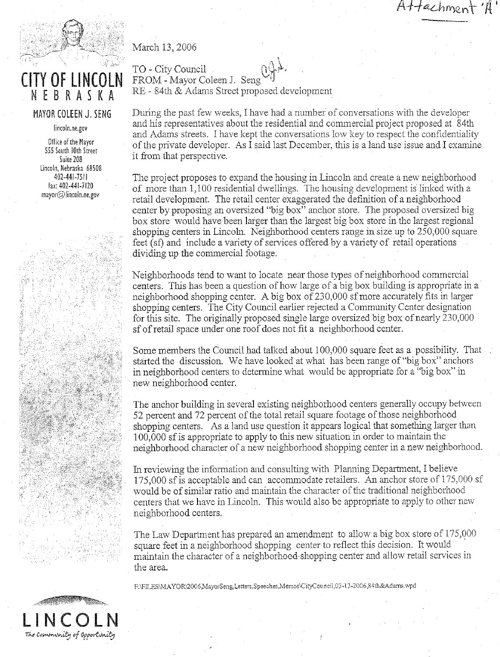Attachment



# **CITY OF LINCOL** NEBRASKA

#### MAYOR COLEEN J. SENG

lincoln.ne.gov

Office of the Mayor 555 South 10th Street Suite 208 Lincoln, Nebraska 68508 402-441-7511 fax: 402-441-7120  $mayor$  ( $Q$ ) lincoln.ne.gov

March 13, 2006

TO - City Council FROM - Mayor Coleen J. Seng RE - 84th & Adams Street proposed development

During the past few weeks, I have had a number of conversations with the developer and his representatives about the residential and commercial project proposed at 84th and Adams streets. I have kept the conversations low key to respect the confidentiality of the private developer. As I said last December, this is a land use issue and I examine it from that perspective.

The project proposes to expand the housing in Lincoln and create a new neighborhood of more than 1,100 residential dwellings. The housing development is linked with a retail development. The retail center exaggerated the definition of a neighborhood center by proposing an oversized "big box" anchor store. The proposed oversized big box store would have been larger than the largest big box store in the largest regional shopping centers in Lincoln. Neighborhood centers range in size up to 250,000 square feet (sf) and include a variety of services offered by a variety of retail operations dividing up the commercial footage.

Neighborhoods tend to want to locate near those types of neighborhood commercial centers. This has been a question of how large of a big box building is appropriate in a neighborhood shopping center. A big box of 230,000 sf more accurately fits in larger shopping centers. The City Council earlier rejected a Community Center designation for this site. The originally proposed single large oversized big box of nearly 230,000 sf of retail space under one roof does not fit a neighborhood center.

Some members the Council had talked about 100,000 square feet as a possibility. That started the discussion. We have looked at what has been range of "big box" anchors in neighborhood centers to determine what would be appropriate for a "big box" in new neighborhood center.

The anchor building in several existing neighborhood centers generally occupy between 52 percent and 72 percent of the total retail square footage of those neighborhood shopping centers. As a land use question it appears logical that something larger than 100,000 sf is appropriate to apply to this new situation in order to maintain the neighborhood character of a new neighborhood shopping center in a new neighborhood.

In reviewing the information and consulting with Planning Department, I believe 175,000 sf is acceptable and can accommodate retailers. An anchor store of 175,000 sf would be of similar ratio and maintain the character of the traditional neighborhood centers that we have in Lincoln. This would also be appropriate to apply to other new neighborhood centers.

The Law Department has prepared an amendment to allow a big box store of 175,000 square feet in a neighborhood shopping center to reflect this decision. It would maintain the character of a neighborhood-shopping center and allow retail services in the area.

F:\FILES\MAYOR\2006,MayorSeng,Letters,Speeches,Memos\CityCouncil,03-13-2006,84th&Adams.wpd